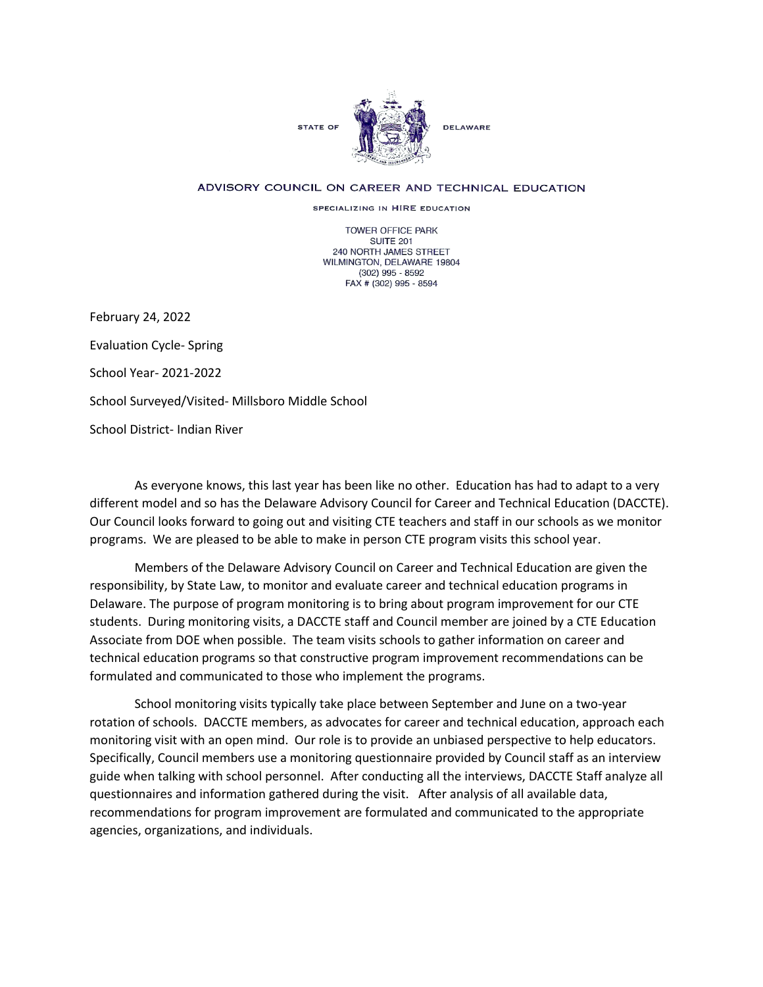

## ADVISORY COUNCIL ON CAREER AND TECHNICAL EDUCATION

SPECIALIZING IN HIRE EDUCATION

TOWER OFFICE PARK SUITE 201 240 NORTH JAMES STREET WILMINGTON, DELAWARE 19804 (302) 995 - 8592 FAX # (302) 995 - 8594

February 24, 2022 Evaluation Cycle- Spring School Year- 2021-2022 School Surveyed/Visited- Millsboro Middle School School District- Indian River

As everyone knows, this last year has been like no other. Education has had to adapt to a very different model and so has the Delaware Advisory Council for Career and Technical Education (DACCTE). Our Council looks forward to going out and visiting CTE teachers and staff in our schools as we monitor programs. We are pleased to be able to make in person CTE program visits this school year.

Members of the Delaware Advisory Council on Career and Technical Education are given the responsibility, by State Law, to monitor and evaluate career and technical education programs in Delaware. The purpose of program monitoring is to bring about program improvement for our CTE students. During monitoring visits, a DACCTE staff and Council member are joined by a CTE Education Associate from DOE when possible. The team visits schools to gather information on career and technical education programs so that constructive program improvement recommendations can be formulated and communicated to those who implement the programs.

School monitoring visits typically take place between September and June on a two-year rotation of schools. DACCTE members, as advocates for career and technical education, approach each monitoring visit with an open mind. Our role is to provide an unbiased perspective to help educators. Specifically, Council members use a monitoring questionnaire provided by Council staff as an interview guide when talking with school personnel. After conducting all the interviews, DACCTE Staff analyze all questionnaires and information gathered during the visit. After analysis of all available data, recommendations for program improvement are formulated and communicated to the appropriate agencies, organizations, and individuals.